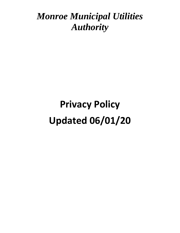# **Privacy Policy Updated 06/01/20**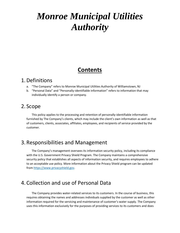# **Contents**

#### 1.Definitions

- a. "The Company" refers to Monroe Municipal Utilities Authority of Williamstown, NJ
- b. "Personal Data" and "Personally-identifiable information" refers to information that may individually identify a person or company.

#### 2. Scope

This policy applies to the processing and retention of personally-identifiable information furnished by The Company's clients, which may include the client's own information as well as that of customers, clients, associates, affiliates, employees, and recipients of service provided by the customer.

#### 3. Responsibilities and Management

The Company's management oversees its information security policy, including its compliance with the U.S. Government Privacy Shield Program. The Company maintains a comprehensive security policy that establishes all aspects of information security, and requires employees to adhere to an acceptable use policy. More information about the Privacy Shield program can be updated from [https://www.privacyshield.gov.](https://www.privacyshield.gov/)

### 4. Collection and use of Personal Data

The Company provides water-related services to its customers. In the course of business, this requires obtaining the names and addresses individuals supplied by the customer as well as other information required for the servicing and maintenance of customer's water supply. The Company uses this information exclusively for the purposes of providing services to its customers and does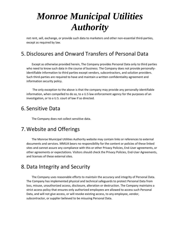not rent, sell, exchange, or provide such data to marketers and other non-essential third-parties, except as required by law.

### 5.Disclosures and Onward Transfers of Personal Data

Except as otherwise provided herein, The Company provides Personal Data only to third parties who need to know such data in the course of business. The Company does not provide personallyidentifiable information to third parties except vendors, subcontractors, and solution providers. Such third-parties are required to have and maintain a written confidentiality agreement and information security policy.

The only exception to the above is that the company may provide any personally-identifiable information, when compelled to do so, to a U.S law enforcement agency for the purposes of an investigation, or to a U.S. court of law if so directed.

### 6. Sensitive Data

The Company does not collect sensitive data.

### 7.Website and Offerings

The Monroe Municipal Utilities Authority website may contain links or references to external documents and services. MMUA bears no responsibility for the content or policies of these linked sites and cannot assure any compliance with this or other Privacy Policies, End-User agreements, or other agreements or expectations. Visitors should check the Privacy Policies, End-User Agreements, and licenses of these external sites.

### 8.Data Integrity and Security

The Company uses reasonable efforts to maintain the accuracy and integrity of Personal Data. The Company has implemented physical and technical safeguards to protect Personal Data from loss, misuse, unauthorized access, disclosure, alteration or destruction. The Company maintains a strict access policy that ensures only authorized employees are allowed to access such Personal Data, and will not give access, or will revoke existing access, to any employee, vendor, subcontractor, or supplier believed to be misusing Personal Data.